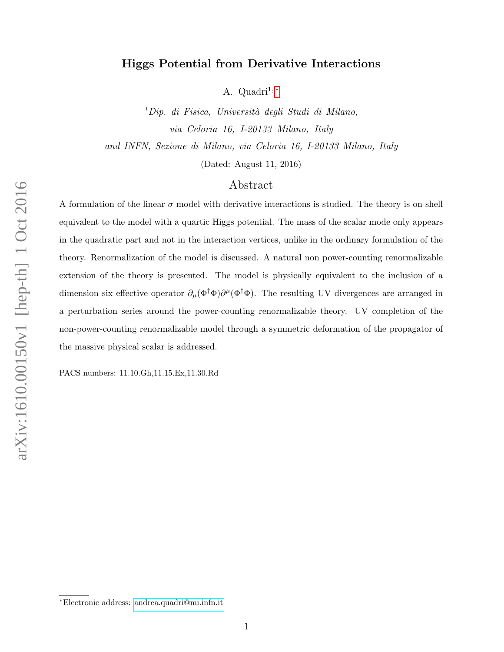# Higgs Potential from Derivative Interactions

A. Quadri<sup>1,\*</sup>

 ${}^{1}$ Dip. di Fisica, Università degli Studi di Milano, via Celoria 16, I-20133 Milano, Italy and INFN, Sezione di Milano, via Celoria 16, I-20133 Milano, Italy

(Dated: August 11, 2016)

# Abstract

A formulation of the linear  $\sigma$  model with derivative interactions is studied. The theory is on-shell equivalent to the model with a quartic Higgs potential. The mass of the scalar mode only appears in the quadratic part and not in the interaction vertices, unlike in the ordinary formulation of the theory. Renormalization of the model is discussed. A natural non power-counting renormalizable extension of the theory is presented. The model is physically equivalent to the inclusion of a dimension six effective operator  $\partial_\mu (\Phi^{\dagger} \Phi) \partial^\mu (\Phi^{\dagger} \Phi)$ . The resulting UV divergences are arranged in a perturbation series around the power-counting renormalizable theory. UV completion of the non-power-counting renormalizable model through a symmetric deformation of the propagator of the massive physical scalar is addressed.

PACS numbers: 11.10.Gh,11.15.Ex,11.30.Rd

<span id="page-0-0"></span><sup>∗</sup>Electronic address: [andrea.quadri@mi.infn.it](mailto:andrea.quadri@mi.infn.it)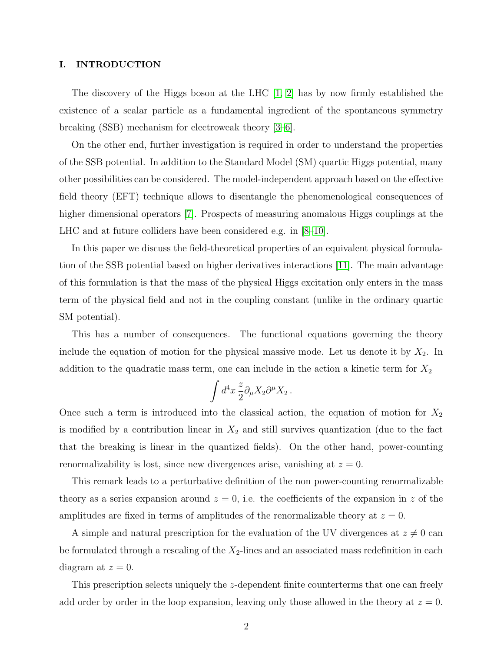## I. INTRODUCTION

The discovery of the Higgs boson at the LHC [\[1,](#page-18-0) [2\]](#page-18-1) has by now firmly established the existence of a scalar particle as a fundamental ingredient of the spontaneous symmetry breaking (SSB) mechanism for electroweak theory [\[3–](#page-18-2)[6\]](#page-18-3).

On the other end, further investigation is required in order to understand the properties of the SSB potential. In addition to the Standard Model (SM) quartic Higgs potential, many other possibilities can be considered. The model-independent approach based on the effective field theory (EFT) technique allows to disentangle the phenomenological consequences of higher dimensional operators [\[7\]](#page-18-4). Prospects of measuring anomalous Higgs couplings at the LHC and at future colliders have been considered e.g. in [\[8](#page-18-5)[–10\]](#page-19-0).

In this paper we discuss the field-theoretical properties of an equivalent physical formulation of the SSB potential based on higher derivatives interactions [\[11\]](#page-19-1). The main advantage of this formulation is that the mass of the physical Higgs excitation only enters in the mass term of the physical field and not in the coupling constant (unlike in the ordinary quartic SM potential).

This has a number of consequences. The functional equations governing the theory include the equation of motion for the physical massive mode. Let us denote it by  $X_2$ . In addition to the quadratic mass term, one can include in the action a kinetic term for  $X_2$ 

$$
\int d^4x \frac{z}{2} \partial_\mu X_2 \partial^\mu X_2 \, .
$$

Once such a term is introduced into the classical action, the equation of motion for  $X_2$ is modified by a contribution linear in  $X_2$  and still survives quantization (due to the fact that the breaking is linear in the quantized fields). On the other hand, power-counting renormalizability is lost, since new divergences arise, vanishing at  $z = 0$ .

This remark leads to a perturbative definition of the non power-counting renormalizable theory as a series expansion around  $z = 0$ , i.e. the coefficients of the expansion in z of the amplitudes are fixed in terms of amplitudes of the renormalizable theory at  $z = 0$ .

A simple and natural prescription for the evaluation of the UV divergences at  $z \neq 0$  can be formulated through a rescaling of the  $X_2$ -lines and an associated mass redefinition in each diagram at  $z = 0$ .

This prescription selects uniquely the z-dependent finite counterterms that one can freely add order by order in the loop expansion, leaving only those allowed in the theory at  $z = 0$ .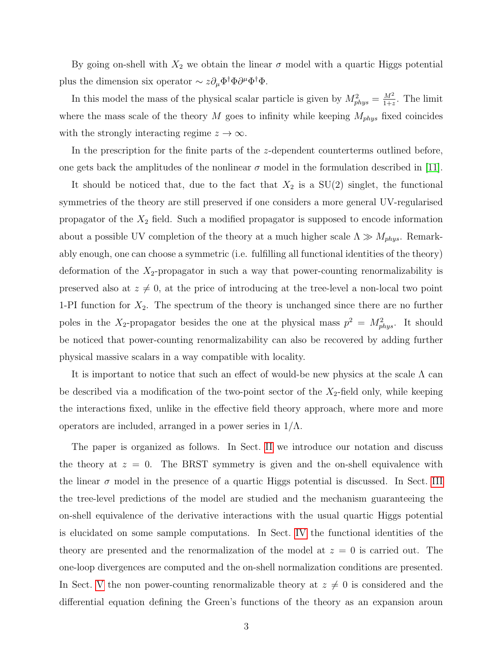By going on-shell with  $X_2$  we obtain the linear  $\sigma$  model with a quartic Higgs potential plus the dimension six operator  $\sim z \partial_\mu \Phi^\dagger \Phi \partial^\mu \Phi^\dagger \Phi$ .

In this model the mass of the physical scalar particle is given by  $M_{phys}^2 = \frac{M^2}{1+z}$  $\frac{M^2}{1+z}$ . The limit where the mass scale of the theory M goes to infinity while keeping  $M_{phys}$  fixed coincides with the strongly interacting regime  $z \to \infty$ .

In the prescription for the finite parts of the z-dependent counterterms outlined before, one gets back the amplitudes of the nonlinear  $\sigma$  model in the formulation described in [\[11\]](#page-19-1).

It should be noticed that, due to the fact that  $X_2$  is a  $SU(2)$  singlet, the functional symmetries of the theory are still preserved if one considers a more general UV-regularised propagator of the  $X_2$  field. Such a modified propagator is supposed to encode information about a possible UV completion of the theory at a much higher scale  $\Lambda \gg M_{phys}$ . Remarkably enough, one can choose a symmetric (i.e. fulfilling all functional identities of the theory) deformation of the  $X_2$ -propagator in such a way that power-counting renormalizability is preserved also at  $z \neq 0$ , at the price of introducing at the tree-level a non-local two point 1-PI function for  $X_2$ . The spectrum of the theory is unchanged since there are no further poles in the X<sub>2</sub>-propagator besides the one at the physical mass  $p^2 = M_{phys}^2$ . It should be noticed that power-counting renormalizability can also be recovered by adding further physical massive scalars in a way compatible with locality.

It is important to notice that such an effect of would-be new physics at the scale  $\Lambda$  can be described via a modification of the two-point sector of the  $X_2$ -field only, while keeping the interactions fixed, unlike in the effective field theory approach, where more and more operators are included, arranged in a power series in  $1/\Lambda$ .

The paper is organized as follows. In Sect. [II](#page-3-0) we introduce our notation and discuss the theory at  $z = 0$ . The BRST symmetry is given and the on-shell equivalence with the linear  $\sigma$  model in the presence of a quartic Higgs potential is discussed. In Sect. [III](#page-6-0) the tree-level predictions of the model are studied and the mechanism guaranteeing the on-shell equivalence of the derivative interactions with the usual quartic Higgs potential is elucidated on some sample computations. In Sect. [IV](#page-7-0) the functional identities of the theory are presented and the renormalization of the model at  $z = 0$  is carried out. The one-loop divergences are computed and the on-shell normalization conditions are presented. In Sect. [V](#page-12-0) the non power-counting renormalizable theory at  $z \neq 0$  is considered and the differential equation defining the Green's functions of the theory as an expansion aroun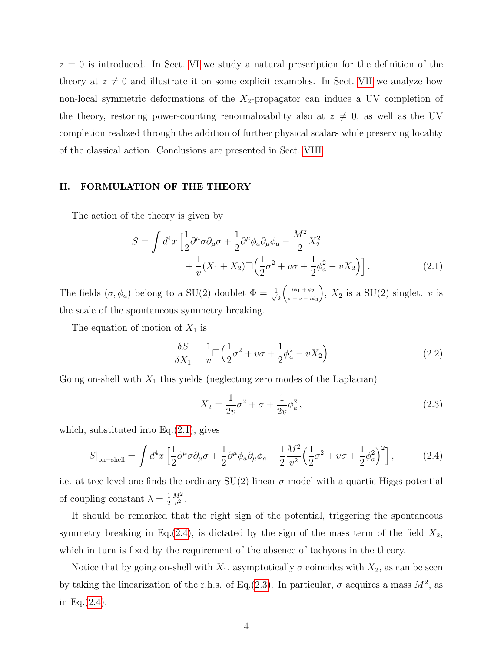$z = 0$  is introduced. In Sect. [VI](#page-13-0) we study a natural prescription for the definition of the theory at  $z \neq 0$  and illustrate it on some explicit examples. In Sect. [VII](#page-15-0) we analyze how non-local symmetric deformations of the  $X_2$ -propagator can induce a UV completion of the theory, restoring power-counting renormalizability also at  $z \neq 0$ , as well as the UV completion realized through the addition of further physical scalars while preserving locality of the classical action. Conclusions are presented in Sect. [VIII.](#page-17-0)

## <span id="page-3-0"></span>II. FORMULATION OF THE THEORY

The action of the theory is given by

$$
S = \int d^4x \left[ \frac{1}{2} \partial^{\mu} \sigma \partial_{\mu} \sigma + \frac{1}{2} \partial^{\mu} \phi_{a} \partial_{\mu} \phi_{a} - \frac{M^2}{2} X_2^2 + \frac{1}{v} (X_1 + X_2) \Box \left( \frac{1}{2} \sigma^2 + v \sigma + \frac{1}{2} \phi_a^2 - v X_2 \right) \right].
$$
 (2.1)

The fields  $(\sigma, \phi_a)$  belong to a SU(2) doublet  $\Phi = \frac{1}{\sqrt{2}}$ 2  $\int i\phi_1 + \phi_2$  $\sigma + v - i\phi_3$ ),  $X_2$  is a SU(2) singlet. v is the scale of the spontaneous symmetry breaking.

The equation of motion of  $X_1$  is

<span id="page-3-1"></span>
$$
\frac{\delta S}{\delta X_1} = \frac{1}{v} \Box \left( \frac{1}{2} \sigma^2 + v \sigma + \frac{1}{2} \phi_a^2 - v X_2 \right) \tag{2.2}
$$

Going on-shell with  $X_1$  this yields (neglecting zero modes of the Laplacian)

<span id="page-3-3"></span><span id="page-3-2"></span>
$$
X_2 = \frac{1}{2v}\sigma^2 + \sigma + \frac{1}{2v}\phi_a^2,
$$
\n(2.3)

which, substituted into  $Eq.(2.1)$  $Eq.(2.1)$ , gives

$$
S|_{\text{on-shell}} = \int d^4x \left[ \frac{1}{2} \partial^\mu \sigma \partial_\mu \sigma + \frac{1}{2} \partial^\mu \phi_a \partial_\mu \phi_a - \frac{1}{2} \frac{M^2}{v^2} \left( \frac{1}{2} \sigma^2 + v \sigma + \frac{1}{2} \phi_a^2 \right)^2 \right],\tag{2.4}
$$

i.e. at tree level one finds the ordinary  $SU(2)$  linear  $\sigma$  model with a quartic Higgs potential of coupling constant  $\lambda = \frac{1}{2}$ 2  $M<sup>2</sup>$  $rac{M^2}{v^2}$ .

It should be remarked that the right sign of the potential, triggering the spontaneous symmetry breaking in Eq.[\(2.4\)](#page-3-2), is dictated by the sign of the mass term of the field  $X_2$ , which in turn is fixed by the requirement of the absence of tachyons in the theory.

Notice that by going on-shell with  $X_1$ , asymptotically  $\sigma$  coincides with  $X_2$ , as can be seen by taking the linearization of the r.h.s. of Eq.[\(2.3\)](#page-3-3). In particular,  $\sigma$  acquires a mass  $M^2$ , as in Eq. $(2.4)$ .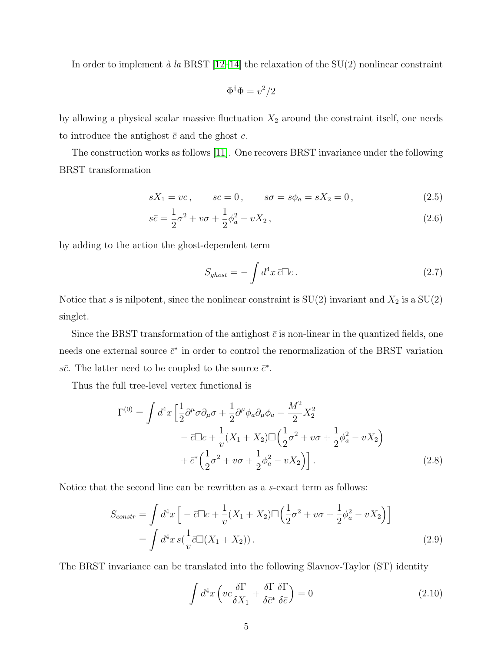In order to implement  $\dot{a}$  la BRST [\[12–](#page-19-2)[14\]](#page-19-3) the relaxation of the SU(2) nonlinear constraint

$$
\Phi^{\dagger}\Phi = v^2/2
$$

by allowing a physical scalar massive fluctuation  $X_2$  around the constraint itself, one needs to introduce the antighost  $\bar{c}$  and the ghost  $c$ .

The construction works as follows [\[11\]](#page-19-1). One recovers BRST invariance under the following BRST transformation

$$
sX_1 = vc
$$
,  $sc = 0$ ,  $s\sigma = s\phi_a = sX_2 = 0$ ,  $(2.5)$ 

$$
s\bar{c} = \frac{1}{2}\sigma^2 + v\sigma + \frac{1}{2}\phi_a^2 - vX_2, \qquad (2.6)
$$

by adding to the action the ghost-dependent term

$$
S_{ghost} = -\int d^4x \,\bar{c}\Box c \,. \tag{2.7}
$$

Notice that s is nilpotent, since the nonlinear constraint is  $SU(2)$  invariant and  $X_2$  is a  $SU(2)$ singlet.

Since the BRST transformation of the antighost  $\bar{c}$  is non-linear in the quantized fields, one needs one external source  $\bar{c}^*$  in order to control the renormalization of the BRST variation s $\bar{c}$ . The latter need to be coupled to the source  $\bar{c}^*$ .

Thus the full tree-level vertex functional is

$$
\Gamma^{(0)} = \int d^4x \left[ \frac{1}{2} \partial^{\mu} \sigma \partial_{\mu} \sigma + \frac{1}{2} \partial^{\mu} \phi_{a} \partial_{\mu} \phi_{a} - \frac{M^2}{2} X_2^2 - \bar{c} \Box c + \frac{1}{v} (X_1 + X_2) \Box \left( \frac{1}{2} \sigma^2 + v \sigma + \frac{1}{2} \phi_a^2 - v X_2 \right) + \bar{c}^* \left( \frac{1}{2} \sigma^2 + v \sigma + \frac{1}{2} \phi_a^2 - v X_2 \right) \right].
$$
\n(2.8)

Notice that the second line can be rewritten as a s-exact term as follows:

$$
S_{constr} = \int d^4x \left[ -\bar{c}\Box c + \frac{1}{v}(X_1 + X_2)\Box \left(\frac{1}{2}\sigma^2 + v\sigma + \frac{1}{2}\phi_a^2 - vX_2\right) \right]
$$
  
= 
$$
\int d^4x \, s\left(\frac{1}{v}\bar{c}\Box (X_1 + X_2)\right).
$$
 (2.9)

The BRST invariance can be translated into the following Slavnov-Taylor (ST) identity

<span id="page-4-0"></span>
$$
\int d^4x \left( v c \frac{\delta \Gamma}{\delta X_1} + \frac{\delta \Gamma}{\delta \bar{c}^*} \frac{\delta \Gamma}{\delta \bar{c}} \right) = 0 \tag{2.10}
$$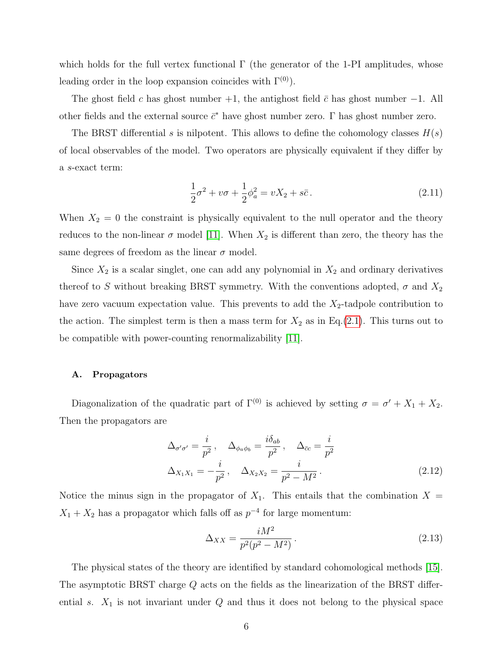which holds for the full vertex functional  $\Gamma$  (the generator of the 1-PI amplitudes, whose leading order in the loop expansion coincides with  $\Gamma^{(0)}$ ).

The ghost field c has ghost number  $+1$ , the antighost field  $\bar{c}$  has ghost number  $-1$ . All other fields and the external source  $\bar{c}^*$  have ghost number zero.  $\Gamma$  has ghost number zero.

The BRST differential s is nilpotent. This allows to define the cohomology classes  $H(s)$ of local observables of the model. Two operators are physically equivalent if they differ by a s-exact term:

$$
\frac{1}{2}\sigma^2 + v\sigma + \frac{1}{2}\phi_a^2 = vX_2 + s\bar{c}.
$$
 (2.11)

When  $X_2 = 0$  the constraint is physically equivalent to the null operator and the theory reduces to the non-linear  $\sigma$  model [\[11\]](#page-19-1). When  $X_2$  is different than zero, the theory has the same degrees of freedom as the linear  $\sigma$  model.

Since  $X_2$  is a scalar singlet, one can add any polynomial in  $X_2$  and ordinary derivatives thereof to S without breaking BRST symmetry. With the conventions adopted,  $\sigma$  and  $X_2$ have zero vacuum expectation value. This prevents to add the  $X_2$ -tadpole contribution to the action. The simplest term is then a mass term for  $X_2$  as in Eq.[\(2.1\)](#page-3-1). This turns out to be compatible with power-counting renormalizability [\[11\]](#page-19-1).

## A. Propagators

Diagonalization of the quadratic part of  $\Gamma^{(0)}$  is achieved by setting  $\sigma = \sigma' + X_1 + X_2$ . Then the propagators are

$$
\Delta_{\sigma'\sigma'} = \frac{i}{p^2}, \quad \Delta_{\phi_a\phi_b} = \frac{i\delta_{ab}}{p^2}, \quad \Delta_{\bar{c}c} = \frac{i}{p^2}
$$
\n
$$
\Delta_{X_1X_1} = -\frac{i}{p^2}, \quad \Delta_{X_2X_2} = \frac{i}{p^2 - M^2}.
$$
\n(2.12)

Notice the minus sign in the propagator of  $X_1$ . This entails that the combination  $X =$  $X_1 + X_2$  has a propagator which falls off as  $p^{-4}$  for large momentum:

$$
\Delta_{XX} = \frac{iM^2}{p^2(p^2 - M^2)}.
$$
\n(2.13)

The physical states of the theory are identified by standard cohomological methods [\[15\]](#page-19-4). The asymptotic BRST charge Q acts on the fields as the linearization of the BRST differential s.  $X_1$  is not invariant under  $Q$  and thus it does not belong to the physical space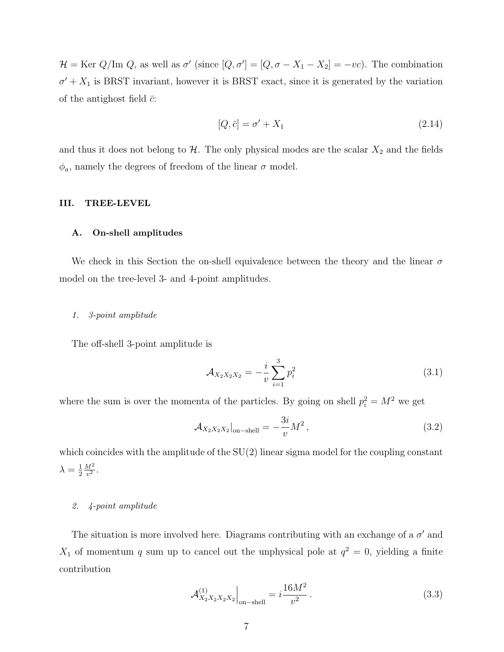$\mathcal{H} = \text{Ker } Q/\text{Im } Q$ , as well as  $\sigma'$  (since  $[Q, \sigma'] = [Q, \sigma - X_1 - X_2] = -vc$ ). The combination  $\sigma' + X_1$  is BRST invariant, however it is BRST exact, since it is generated by the variation of the antighost field  $\bar{c}$ :

$$
[Q, \bar{c}] = \sigma' + X_1 \tag{2.14}
$$

and thus it does not belong to  $H$ . The only physical modes are the scalar  $X_2$  and the fields  $\phi_a$ , namely the degrees of freedom of the linear  $\sigma$  model.

#### <span id="page-6-0"></span>III. TREE-LEVEL

#### A. On-shell amplitudes

We check in this Section the on-shell equivalence between the theory and the linear  $\sigma$ model on the tree-level 3- and 4-point amplitudes.

#### 1. 3-point amplitude

The off-shell 3-point amplitude is

$$
\mathcal{A}_{X_2 X_2 X_2} = -\frac{i}{v} \sum_{i=1}^3 p_i^2 \tag{3.1}
$$

where the sum is over the momenta of the particles. By going on shell  $p_i^2 = M^2$  we get

$$
\mathcal{A}_{X_2 X_2 X_2}|_{\text{on-shell}} = -\frac{3i}{v} M^2 ,\qquad (3.2)
$$

which coincides with the amplitude of the  $SU(2)$  linear sigma model for the coupling constant  $\lambda = \frac{1}{2}$ 2  $\mathbb{M}^2$  $rac{M^2}{v^2}$ .

#### 2. 4-point amplitude

The situation is more involved here. Diagrams contributing with an exchange of a  $\sigma'$  and  $X_1$  of momentum q sum up to cancel out the unphysical pole at  $q^2 = 0$ , yielding a finite contribution

$$
\mathcal{A}_{X_2 X_2 X_2 X_2}^{(1)}\Big|_{\text{on-shell}} = i\frac{16M^2}{v^2} \,. \tag{3.3}
$$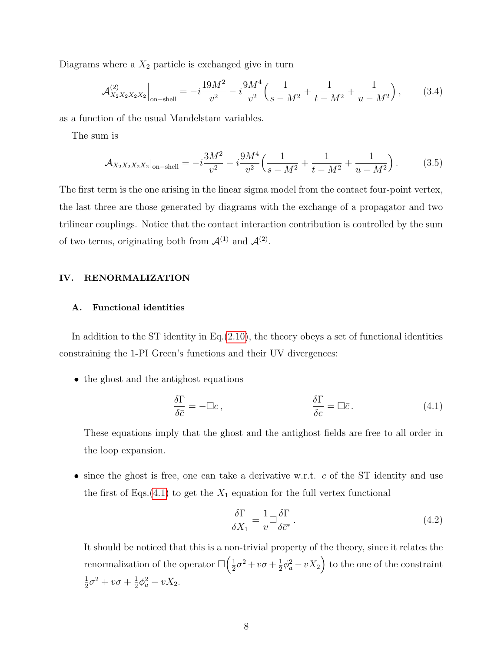Diagrams where a  $X_2$  particle is exchanged give in turn

$$
\mathcal{A}_{X_2 X_2 X_2 X_2}^{(2)}\Big|_{\text{on-shell}} = -i\frac{19M^2}{v^2} - i\frac{9M^4}{v^2} \Big(\frac{1}{s - M^2} + \frac{1}{t - M^2} + \frac{1}{u - M^2}\Big) ,\tag{3.4}
$$

as a function of the usual Mandelstam variables.

The sum is

$$
\mathcal{A}_{X_2 X_2 X_2 X_2}|_{\text{on-shell}} = -i\frac{3M^2}{v^2} - i\frac{9M^4}{v^2} \left(\frac{1}{s - M^2} + \frac{1}{t - M^2} + \frac{1}{u - M^2}\right). \tag{3.5}
$$

The first term is the one arising in the linear sigma model from the contact four-point vertex, the last three are those generated by diagrams with the exchange of a propagator and two trilinear couplings. Notice that the contact interaction contribution is controlled by the sum of two terms, originating both from  $\mathcal{A}^{(1)}$  and  $\mathcal{A}^{(2)}$ .

#### <span id="page-7-0"></span>IV. RENORMALIZATION

## A. Functional identities

In addition to the ST identity in  $Eq.(2.10)$  $Eq.(2.10)$ , the theory obeys a set of functional identities constraining the 1-PI Green's functions and their UV divergences:

• the ghost and the antighost equations

$$
\frac{\delta \Gamma}{\delta \bar{c}} = -\Box c, \qquad \frac{\delta \Gamma}{\delta c} = \Box \bar{c}.
$$
 (4.1)

These equations imply that the ghost and the antighost fields are free to all order in the loop expansion.

• since the ghost is free, one can take a derivative w.r.t.  $c$  of the ST identity and use the first of Eqs.[\(4.1\)](#page-7-1) to get the  $X_1$  equation for the full vertex functional

<span id="page-7-2"></span><span id="page-7-1"></span>
$$
\frac{\delta \Gamma}{\delta X_1} = \frac{1}{v} \Box \frac{\delta \Gamma}{\delta \bar{c}^*} \,. \tag{4.2}
$$

It should be noticed that this is a non-trivial property of the theory, since it relates the renormalization of the operator  $\square\left(\frac{1}{2}\right)$  $\frac{1}{2}\sigma^2 + v\sigma + \frac{1}{2}$  $\frac{1}{2}\phi_a^2 - vX_2$  to the one of the constraint 1  $\frac{1}{2}\sigma^2 + v\sigma + \frac{1}{2}$  $\frac{1}{2}\phi_a^2 - vX_2.$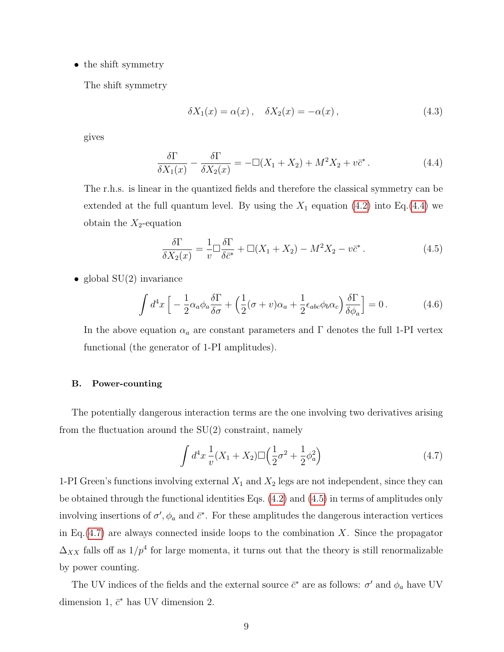• the shift symmetry

The shift symmetry

<span id="page-8-0"></span>
$$
\delta X_1(x) = \alpha(x), \quad \delta X_2(x) = -\alpha(x), \tag{4.3}
$$

gives

$$
\frac{\delta \Gamma}{\delta X_1(x)} - \frac{\delta \Gamma}{\delta X_2(x)} = -\Box (X_1 + X_2) + M^2 X_2 + v\overline{c}^*.
$$
\n(4.4)

The r.h.s. is linear in the quantized fields and therefore the classical symmetry can be extended at the full quantum level. By using the  $X_1$  equation [\(4.2\)](#page-7-2) into Eq.[\(4.4\)](#page-8-0) we obtain the  $X_2$ -equation

<span id="page-8-3"></span><span id="page-8-1"></span>
$$
\frac{\delta\Gamma}{\delta X_2(x)} = \frac{1}{v}\Box\frac{\delta\Gamma}{\delta\bar{c}^*} + \Box(X_1 + X_2) - M^2X_2 - v\bar{c}^*.
$$
\n(4.5)

• global  $SU(2)$  invariance

$$
\int d^4x \left[ -\frac{1}{2} \alpha_a \phi_a \frac{\delta \Gamma}{\delta \sigma} + \left( \frac{1}{2} (\sigma + v) \alpha_a + \frac{1}{2} \epsilon_{abc} \phi_b \alpha_c \right) \frac{\delta \Gamma}{\delta \phi_a} \right] = 0. \tag{4.6}
$$

In the above equation  $\alpha_a$  are constant parameters and  $\Gamma$  denotes the full 1-PI vertex functional (the generator of 1-PI amplitudes).

#### B. Power-counting

The potentially dangerous interaction terms are the one involving two derivatives arising from the fluctuation around the  $SU(2)$  constraint, namely

<span id="page-8-2"></span>
$$
\int d^4x \frac{1}{v}(X_1 + X_2) \Box \left(\frac{1}{2}\sigma^2 + \frac{1}{2}\phi_a^2\right)
$$
\n(4.7)

1-PI Green's functions involving external  $X_1$  and  $X_2$  legs are not independent, since they can be obtained through the functional identities Eqs. [\(4.2\)](#page-7-2) and [\(4.5\)](#page-8-1) in terms of amplitudes only involving insertions of  $\sigma'$ ,  $\phi_a$  and  $\bar{c}^*$ . For these amplitudes the dangerous interaction vertices in Eq. $(4.7)$  are always connected inside loops to the combination X. Since the propagator  $\Delta_{XX}$  falls off as  $1/p^4$  for large momenta, it turns out that the theory is still renormalizable by power counting.

The UV indices of the fields and the external source  $\bar{c}^*$  are as follows:  $\sigma'$  and  $\phi_a$  have UV dimension 1,  $\bar{c}^*$  has UV dimension 2.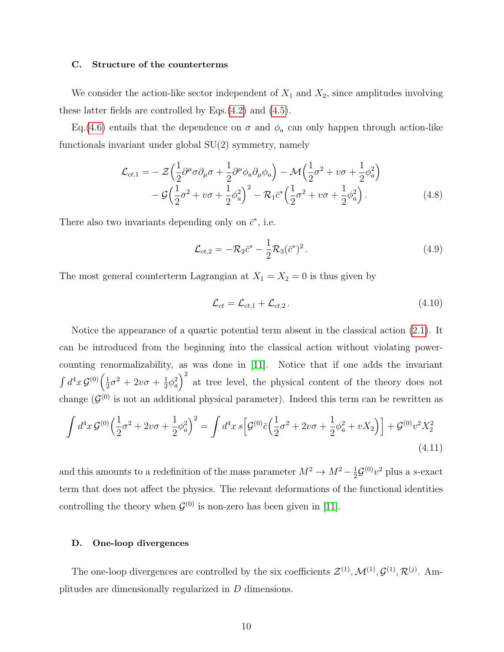#### C. Structure of the counterterms

We consider the action-like sector independent of  $X_1$  and  $X_2$ , since amplitudes involving these latter fields are controlled by Eqs.[\(4.2\)](#page-7-2) and [\(4.5\)](#page-8-1).

Eq.[\(4.6\)](#page-8-3) entails that the dependence on  $\sigma$  and  $\phi_a$  can only happen through action-like functionals invariant under global SU(2) symmetry, namely

$$
\mathcal{L}_{ct,1} = -\mathcal{Z}\left(\frac{1}{2}\partial^{\mu}\sigma\partial_{\mu}\sigma + \frac{1}{2}\partial^{\mu}\phi_{a}\partial_{\mu}\phi_{a}\right) - \mathcal{M}\left(\frac{1}{2}\sigma^{2} + v\sigma + \frac{1}{2}\phi_{a}^{2}\right) \n- \mathcal{G}\left(\frac{1}{2}\sigma^{2} + v\sigma + \frac{1}{2}\phi_{a}^{2}\right)^{2} - \mathcal{R}_{1}\bar{c}^{*}\left(\frac{1}{2}\sigma^{2} + v\sigma + \frac{1}{2}\phi_{a}^{2}\right).
$$
\n(4.8)

There also two invariants depending only on  $\bar{c}^*$ , i.e.

$$
\mathcal{L}_{ct,2} = -\mathcal{R}_2 \bar{c}^* - \frac{1}{2} \mathcal{R}_3 (\bar{c}^*)^2 \,. \tag{4.9}
$$

The most general counterterm Lagrangian at  $X_1 = X_2 = 0$  is thus given by

$$
\mathcal{L}_{ct} = \mathcal{L}_{ct,1} + \mathcal{L}_{ct,2} \,. \tag{4.10}
$$

Notice the appearance of a quartic potential term absent in the classical action [\(2.1\)](#page-3-1). It can be introduced from the beginning into the classical action without violating powercounting renormalizability, as was done in [\[11\]](#page-19-1). Notice that if one adds the invariant  $\int d^4x \, \mathcal{G}^{(0)}\Big(\frac{1}{2}\Big)$  $\frac{1}{2}\sigma^2 + 2v\sigma + \frac{1}{2}$  $\frac{1}{2}\phi_a^2$  at tree level, the physical content of the theory does not change  $(\mathcal{G}^{(0)}$  is not an additional physical parameter). Indeed this term can be rewritten as

$$
\int d^4x \, \mathcal{G}^{(0)} \Big(\frac{1}{2}\sigma^2 + 2v\sigma + \frac{1}{2}\phi_a^2\Big)^2 = \int d^4x \, s \Big[\mathcal{G}^{(0)}\bar{c} \Big(\frac{1}{2}\sigma^2 + 2v\sigma + \frac{1}{2}\phi_a^2 + vX_2\Big)\Big] + \mathcal{G}^{(0)}v^2X_2^2\tag{4.11}
$$

and this amounts to a redefinition of the mass parameter  $M^2 \to M^2 - \frac{1}{2}$  $\frac{1}{2}\mathcal{G}^{(0)}v^2$  plus a s-exact term that does not affect the physics. The relevant deformations of the functional identities controlling the theory when  $\mathcal{G}^{(0)}$  is non-zero has been given in [\[11\]](#page-19-1).

## D. One-loop divergences

The one-loop divergences are controlled by the six coefficients  $\mathcal{Z}^{(1)}, \mathcal{M}^{(1)}, \mathcal{G}^{(1)}, \mathcal{R}^{(j)}$ . Amplitudes are dimensionally regularized in D dimensions.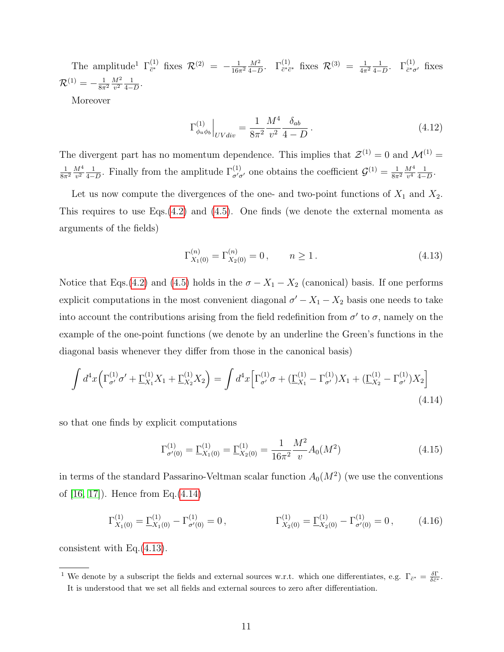The amplitude<sup>1</sup>  $\Gamma_{\bar{c}^*}^{(1)}$  $\frac{1}{c^*}$  fixes  $\mathcal{R}^{(2)} = -\frac{1}{16\pi}$  $\overline{16\pi^2}$  $M<sup>2</sup>$  $\frac{M^2}{4-D}$ . Γ<sup>(1)</sup><sub>*c*\**c*\* fixes  $\mathcal{R}^{(3)} = \frac{1}{4\pi}$ </sub>  $\overline{4\pi^2}$ 1  $\frac{1}{4-D}$ .  $\Gamma^{(1)}_{\bar{c}^*\sigma'}$  fixes  ${\cal R}^{(1)} = - \frac{1}{8\pi}$  $\overline{8\pi^2}$  $M^2$  $\frac{M^2}{v^2} \frac{1}{4-}$  $\frac{1}{4-D}$ .

Moreover

$$
\Gamma^{(1)}_{\phi_a \phi_b} \Big|_{UVdiv} = \frac{1}{8\pi^2} \frac{M^4}{v^2} \frac{\delta_{ab}}{4 - D} \,. \tag{4.12}
$$

The divergent part has no momentum dependence. This implies that  $\mathcal{Z}^{(1)} = 0$  and  $\mathcal{M}^{(1)} =$ 1  $\overline{8\pi^2}$  $M^4$  $\frac{M^4}{v^2} \frac{1}{4-}$  $\frac{1}{4-D}$ . Finally from the amplitude  $\Gamma^{(1)}_{\sigma'\sigma'}$  one obtains the coefficient  $\mathcal{G}^{(1)}=\frac{1}{8\pi}$  $\overline{8\pi^2}$  $M^4$  $\frac{M^4}{v^4} \frac{1}{4-}$  $\frac{1}{4-D}$ .

Let us now compute the divergences of the one- and two-point functions of  $X_1$  and  $X_2$ . This requires to use Eqs. $(4.2)$  and  $(4.5)$ . One finds (we denote the external momenta as arguments of the fields)

<span id="page-10-1"></span>
$$
\Gamma_{X_1(0)}^{(n)} = \Gamma_{X_2(0)}^{(n)} = 0, \qquad n \ge 1.
$$
\n(4.13)

Notice that Eqs.[\(4.2\)](#page-7-2) and [\(4.5\)](#page-8-1) holds in the  $\sigma - X_1 - X_2$  (canonical) basis. If one performs explicit computations in the most convenient diagonal  $\sigma' - X_1 - X_2$  basis one needs to take into account the contributions arising from the field redefinition from  $\sigma'$  to  $\sigma$ , namely on the example of the one-point functions (we denote by an underline the Green's functions in the diagonal basis whenever they differ from those in the canonical basis)

$$
\int d^4x \left( \Gamma^{(1)}_{\sigma'} \sigma' + \underline{\Gamma}^{(1)}_{X_1} X_1 + \underline{\Gamma}^{(1)}_{X_2} X_2 \right) = \int d^4x \left[ \Gamma^{(1)}_{\sigma'} \sigma + (\underline{\Gamma}^{(1)}_{X_1} - \Gamma^{(1)}_{\sigma'}) X_1 + (\underline{\Gamma}^{(1)}_{X_2} - \Gamma^{(1)}_{\sigma'}) X_2 \right]
$$
\n(4.14)

so that one finds by explicit computations

<span id="page-10-0"></span>
$$
\Gamma_{\sigma'(0)}^{(1)} = \underline{\Gamma}_{X_1(0)}^{(1)} = \underline{\Gamma}_{X_2(0)}^{(1)} = \frac{1}{16\pi^2} \frac{M^2}{v} A_0(M^2)
$$
\n(4.15)

in terms of the standard Passarino-Veltman scalar function  $A_0(M^2)$  (we use the conventions of [\[16,](#page-19-5) [17\]](#page-19-6)). Hence from Eq.[\(4.14\)](#page-10-0)

$$
\Gamma_{X_1(0)}^{(1)} = \underline{\Gamma}_{X_1(0)}^{(1)} - \Gamma_{\sigma'(0)}^{(1)} = 0, \qquad \qquad \Gamma_{X_2(0)}^{(1)} = \underline{\Gamma}_{X_2(0)}^{(1)} - \Gamma_{\sigma'(0)}^{(1)} = 0, \qquad (4.16)
$$

consistent with Eq.[\(4.13\)](#page-10-1).

<sup>&</sup>lt;sup>1</sup> We denote by a subscript the fields and external sources w.r.t. which one differentiates, e.g.  $\Gamma_{\bar{c}^*} = \frac{\delta \Gamma}{\delta \bar{c}^*}.$ It is understood that we set all fields and external sources to zero after differentiation.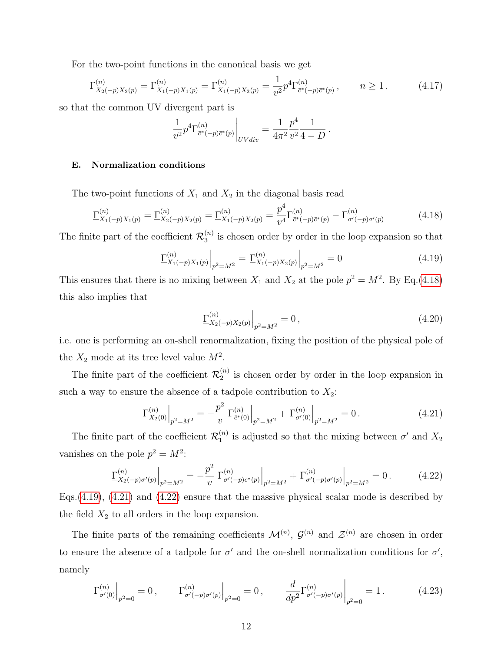For the two-point functions in the canonical basis we get

$$
\Gamma_{X_2(-p)X_2(p)}^{(n)} = \Gamma_{X_1(-p)X_1(p)}^{(n)} = \Gamma_{X_1(-p)X_2(p)}^{(n)} = \frac{1}{v^2} p^4 \Gamma_{\bar{c}^*(-p)\bar{c}^*(p)}^{(n)}, \qquad n \ge 1.
$$
 (4.17)

so that the common UV divergent part is

$$
\frac{1}{v^2} p^4 \Gamma^{(n)}_{\bar{c}^*(-p)\bar{c}^*(p)}\Big|_{UVdiv} = \frac{1}{4\pi^2} \frac{p^4}{v^2} \frac{1}{4-D} \, .
$$

#### E. Normalization conditions

The two-point functions of  $X_1$  and  $X_2$  in the diagonal basis read

$$
\underline{\Gamma}_{X_1(-p)X_1(p)}^{(n)} = \underline{\Gamma}_{X_2(-p)X_2(p)}^{(n)} = \underline{\Gamma}_{X_1(-p)X_2(p)}^{(n)} = \frac{p^4}{v^4} \Gamma_{\bar{c}^*(-p)\bar{c}^*(p)}^{(n)} - \Gamma_{\sigma'(-p)\sigma'(p)}^{(n)} \tag{4.18}
$$

The finite part of the coefficient  $\mathcal{R}_3^{(n)}$  $\binom{n}{3}$  is chosen order by order in the loop expansion so that

$$
\underline{\Gamma}_{X_1(-p)X_1(p)}^{(n)}\Big|_{p^2=M^2} = \underline{\Gamma}_{X_1(-p)X_2(p)}^{(n)}\Big|_{p^2=M^2} = 0 \tag{4.19}
$$

This ensures that there is no mixing between  $X_1$  and  $X_2$  at the pole  $p^2 = M^2$ . By Eq.[\(4.18\)](#page-11-0) this also implies that

<span id="page-11-3"></span><span id="page-11-2"></span><span id="page-11-1"></span><span id="page-11-0"></span>
$$
\left. \frac{\Gamma^{(n)}_{X_2(-p)X_2(p)}}{\right|_{p^2=M^2}} = 0, \tag{4.20}
$$

i.e. one is performing an on-shell renormalization, fixing the position of the physical pole of the  $X_2$  mode at its tree level value  $M^2$ .

The finite part of the coefficient  $\mathcal{R}_2^{(n)}$  $\binom{n}{2}$  is chosen order by order in the loop expansion in such a way to ensure the absence of a tadpole contribution to  $X_2$ :

$$
\underline{\Gamma}_{X_2(0)}^{(n)}\Big|_{p^2=M^2} = -\frac{p^2}{v} \left. \Gamma_{\bar{c}^*(0)}^{(n)}\right|_{p^2=M^2} + \left. \Gamma_{\sigma'(0)}^{(n)}\right|_{p^2=M^2} = 0. \tag{4.21}
$$

The finite part of the coefficient  $\mathcal{R}_1^{(n)}$  $\binom{n}{1}$  is adjusted so that the mixing between  $\sigma'$  and  $X_2$ vanishes on the pole  $p^2 = M^2$ :

$$
\underline{\Gamma}_{X_2(-p)\sigma'(p)}^{(n)}\Big|_{p^2=M^2} = -\frac{p^2}{v} \left. \Gamma_{\sigma'(-p)\bar{c}^*(p)}^{(n)}\right|_{p^2=M^2} + \left. \Gamma_{\sigma'(-p)\sigma'(p)}^{(n)}\right|_{p^2=M^2} = 0. \tag{4.22}
$$

Eqs.[\(4.19\)](#page-11-1), [\(4.21\)](#page-11-2) and [\(4.22\)](#page-11-3) ensure that the massive physical scalar mode is described by the field  $X_2$  to all orders in the loop expansion.

The finite parts of the remaining coefficients  $\mathcal{M}^{(n)}$ ,  $\mathcal{G}^{(n)}$  and  $\mathcal{Z}^{(n)}$  are chosen in order to ensure the absence of a tadpole for  $\sigma'$  and the on-shell normalization conditions for  $\sigma'$ , namely

$$
\Gamma_{\sigma'(0)}^{(n)}\Big|_{p^2=0} = 0\,, \qquad \Gamma_{\sigma'(-p)\sigma'(p)}^{(n)}\Big|_{p^2=0} = 0\,, \qquad \frac{d}{dp^2}\Gamma_{\sigma'(-p)\sigma'(p)}^{(n)}\Big|_{p^2=0} = 1\,. \tag{4.23}
$$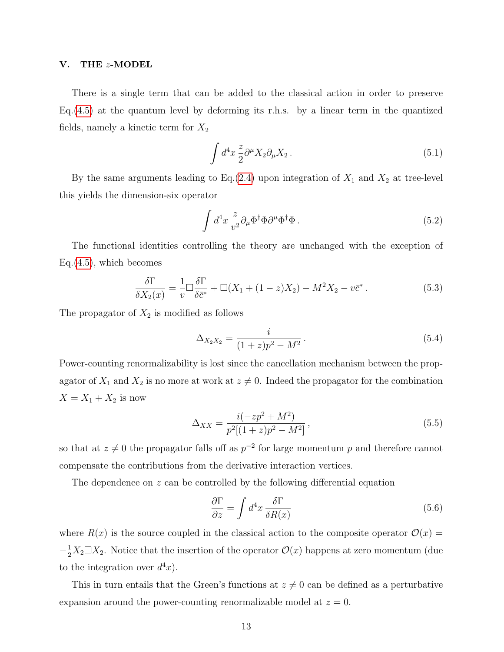## <span id="page-12-0"></span>V. THE z-MODEL

There is a single term that can be added to the classical action in order to preserve Eq.[\(4.5\)](#page-8-1) at the quantum level by deforming its r.h.s. by a linear term in the quantized fields, namely a kinetic term for  $X_2$ 

$$
\int d^4x \frac{z}{2} \partial^\mu X_2 \partial_\mu X_2 \,. \tag{5.1}
$$

By the same arguments leading to Eq.[\(2.4\)](#page-3-2) upon integration of  $X_1$  and  $X_2$  at tree-level this yields the dimension-six operator

<span id="page-12-2"></span>
$$
\int d^4x \frac{z}{v^2} \partial_\mu \Phi^\dagger \Phi \partial^\mu \Phi^\dagger \Phi \,. \tag{5.2}
$$

The functional identities controlling the theory are unchanged with the exception of Eq.[\(4.5\)](#page-8-1), which becomes

$$
\frac{\delta \Gamma}{\delta X_2(x)} = \frac{1}{v} \Box \frac{\delta \Gamma}{\delta \bar{c}^*} + \Box (X_1 + (1 - z)X_2) - M^2 X_2 - v \bar{c}^* \,. \tag{5.3}
$$

The propagator of  $X_2$  is modified as follows

$$
\Delta_{X_2 X_2} = \frac{i}{(1+z)p^2 - M^2}.
$$
\n(5.4)

Power-counting renormalizability is lost since the cancellation mechanism between the propagator of  $X_1$  and  $X_2$  is no more at work at  $z \neq 0$ . Indeed the propagator for the combination  $X = X_1 + X_2$  is now

$$
\Delta_{XX} = \frac{i(-zp^2 + M^2)}{p^2[(1+z)p^2 - M^2]},
$$
\n(5.5)

so that at  $z \neq 0$  the propagator falls off as  $p^{-2}$  for large momentum p and therefore cannot compensate the contributions from the derivative interaction vertices.

The dependence on  $z$  can be controlled by the following differential equation

<span id="page-12-1"></span>
$$
\frac{\partial \Gamma}{\partial z} = \int d^4x \, \frac{\delta \Gamma}{\delta R(x)}\tag{5.6}
$$

where  $R(x)$  is the source coupled in the classical action to the composite operator  $\mathcal{O}(x)$  =  $-\frac{1}{2}X_2 \Box X_2$ . Notice that the insertion of the operator  $\mathcal{O}(x)$  happens at zero momentum (due to the integration over  $d^4x$ .

This in turn entails that the Green's functions at  $z \neq 0$  can be defined as a perturbative expansion around the power-counting renormalizable model at  $z = 0$ .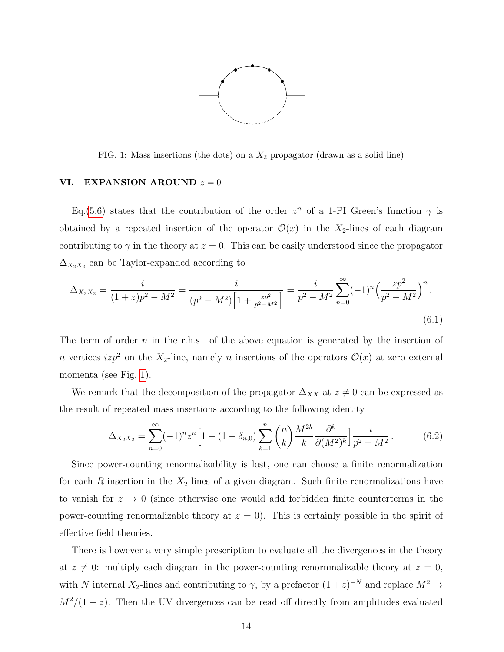

<span id="page-13-1"></span>FIG. 1: Mass insertions (the dots) on a  $X_2$  propagator (drawn as a solid line)

## <span id="page-13-0"></span>VI. EXPANSION AROUND  $z = 0$

Eq.[\(5.6\)](#page-12-1) states that the contribution of the order  $z^n$  of a 1-PI Green's function  $\gamma$  is obtained by a repeated insertion of the operator  $\mathcal{O}(x)$  in the X<sub>2</sub>-lines of each diagram contributing to  $\gamma$  in the theory at  $z = 0$ . This can be easily understood since the propagator  $\Delta_{X_2X_2}$  can be Taylor-expanded according to

$$
\Delta_{X_2 X_2} = \frac{i}{(1+z)p^2 - M^2} = \frac{i}{(p^2 - M^2)\left[1 + \frac{zp^2}{p^2 - M^2}\right]} = \frac{i}{p^2 - M^2} \sum_{n=0}^{\infty} (-1)^n \left(\frac{zp^2}{p^2 - M^2}\right)^n.
$$
\n(6.1)

The term of order  $n$  in the r.h.s. of the above equation is generated by the insertion of n vertices  $izp^2$  on the  $X_2$ -line, namely n insertions of the operators  $\mathcal{O}(x)$  at zero external momenta (see Fig. [1\)](#page-13-1).

We remark that the decomposition of the propagator  $\Delta_{XX}$  at  $z \neq 0$  can be expressed as the result of repeated mass insertions according to the following identity

$$
\Delta_{X_2 X_2} = \sum_{n=0}^{\infty} (-1)^n z^n \left[ 1 + (1 - \delta_{n,0}) \sum_{k=1}^n \binom{n}{k} \frac{M^{2k}}{k} \frac{\partial^k}{\partial (M^2)^k} \right] \frac{i}{p^2 - M^2} \,. \tag{6.2}
$$

Since power-counting renormalizability is lost, one can choose a finite renormalization for each  $R$ -insertion in the  $X_2$ -lines of a given diagram. Such finite renormalizations have to vanish for  $z \to 0$  (since otherwise one would add forbidden finite counterterms in the power-counting renormalizable theory at  $z = 0$ ). This is certainly possible in the spirit of effective field theories.

There is however a very simple prescription to evaluate all the divergences in the theory at  $z \neq 0$ : multiply each diagram in the power-counting renornmalizable theory at  $z = 0$ , with N internal  $X_2$ -lines and contributing to  $\gamma$ , by a prefactor  $(1+z)^{-N}$  and replace  $M^2 \to$  $M^2/(1+z)$ . Then the UV divergences can be read off directly from amplitudes evaluated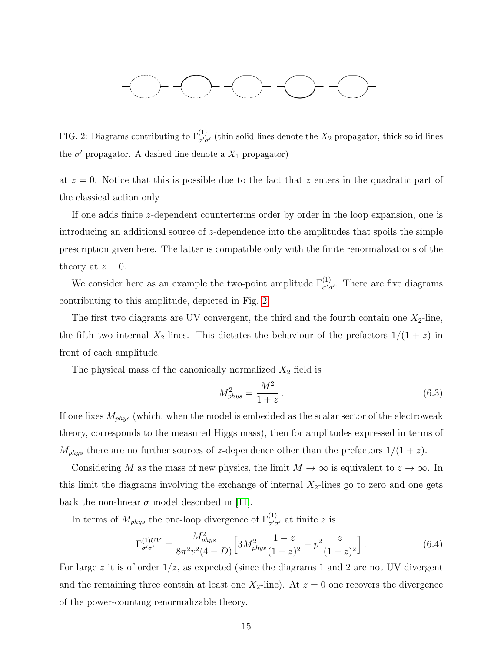

<span id="page-14-0"></span>FIG. 2: Diagrams contributing to  $\Gamma^{(1)}_{\sigma'\sigma'}$  (thin solid lines denote the  $X_2$  propagator, thick solid lines the  $\sigma'$  propagator. A dashed line denote a  $X_1$  propagator)

at  $z = 0$ . Notice that this is possible due to the fact that z enters in the quadratic part of the classical action only.

If one adds finite z-dependent counterterms order by order in the loop expansion, one is introducing an additional source of z-dependence into the amplitudes that spoils the simple prescription given here. The latter is compatible only with the finite renormalizations of the theory at  $z = 0$ .

We consider here as an example the two-point amplitude  $\Gamma_{\sigma'\sigma'}^{(1)}$ . There are five diagrams contributing to this amplitude, depicted in Fig. [2.](#page-14-0)

The first two diagrams are UV convergent, the third and the fourth contain one  $X_2$ -line, the fifth two internal  $X_2$ -lines. This dictates the behaviour of the prefactors  $1/(1+z)$  in front of each amplitude.

The physical mass of the canonically normalized  $X_2$  field is

$$
M_{phys}^2 = \frac{M^2}{1+z} \,. \tag{6.3}
$$

If one fixes  $M_{phys}$  (which, when the model is embedded as the scalar sector of the electroweak theory, corresponds to the measured Higgs mass), then for amplitudes expressed in terms of  $M_{phys}$  there are no further sources of z-dependence other than the prefactors  $1/(1+z)$ .

Considering M as the mass of new physics, the limit  $M \to \infty$  is equivalent to  $z \to \infty$ . In this limit the diagrams involving the exchange of internal  $X_2$ -lines go to zero and one gets back the non-linear  $\sigma$  model described in [\[11\]](#page-19-1).

In terms of  $M_{phys}$  the one-loop divergence of  $\Gamma_{\sigma'\sigma'}^{(1)}$  at finite z is

$$
\Gamma_{\sigma'\sigma'}^{(1)UV} = \frac{M_{phys}^2}{8\pi^2 v^2 (4-D)} \left[ 3M_{phys}^2 \frac{1-z}{(1+z)^2} - p^2 \frac{z}{(1+z)^2} \right].
$$
 (6.4)

For large z it is of order  $1/z$ , as expected (since the diagrams 1 and 2 are not UV divergent and the remaining three contain at least one  $X_2$ -line). At  $z = 0$  one recovers the divergence of the power-counting renormalizable theory.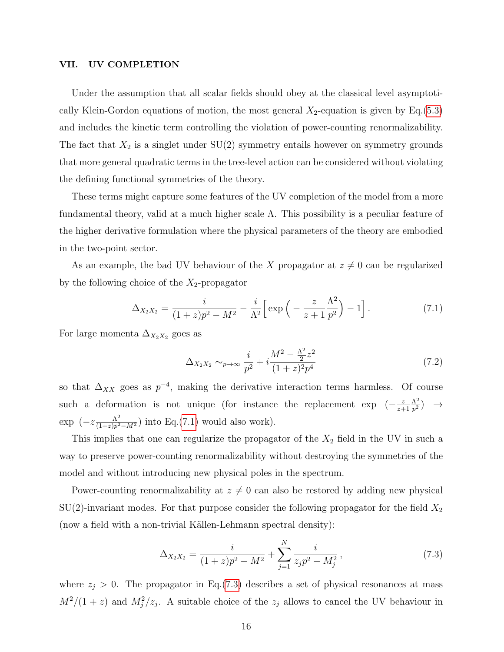## <span id="page-15-0"></span>VII. UV COMPLETION

Under the assumption that all scalar fields should obey at the classical level asymptotically Klein-Gordon equations of motion, the most general  $X_2$ -equation is given by Eq.[\(5.3\)](#page-12-2) and includes the kinetic term controlling the violation of power-counting renormalizability. The fact that  $X_2$  is a singlet under  $SU(2)$  symmetry entails however on symmetry grounds that more general quadratic terms in the tree-level action can be considered without violating the defining functional symmetries of the theory.

These terms might capture some features of the UV completion of the model from a more fundamental theory, valid at a much higher scale  $\Lambda$ . This possibility is a peculiar feature of the higher derivative formulation where the physical parameters of the theory are embodied in the two-point sector.

As an example, the bad UV behaviour of the X propagator at  $z \neq 0$  can be regularized by the following choice of the  $X_2$ -propagator

$$
\Delta_{X_2 X_2} = \frac{i}{(1+z)p^2 - M^2} - \frac{i}{\Lambda^2} \left[ \exp\left( -\frac{z}{z+1} \frac{\Lambda^2}{p^2} \right) - 1 \right]. \tag{7.1}
$$

For large momenta  $\Delta_{X_2X_2}$  goes as

<span id="page-15-1"></span>
$$
\Delta_{X_2 X_2} \sim_{p \to \infty} \frac{i}{p^2} + i \frac{M^2 - \frac{\Lambda^2}{2} z^2}{(1+z)^2 p^4} \tag{7.2}
$$

so that  $\Delta_{XX}$  goes as  $p^{-4}$ , making the derivative interaction terms harmless. Of course such a deformation is not unique (for instance the replacement exp  $\left(-\frac{z}{\sigma}\right)$ z+1  $\Delta^2$  $\frac{\Lambda^2}{p^2}) \quad \rightarrow$  $\exp\left(-z\frac{\Lambda^2}{(1+z)n^2}\right)$  $\frac{\Lambda^2}{(1+z)p^2-M^2}$  into Eq.[\(7.1\)](#page-15-1) would also work).

This implies that one can regularize the propagator of the  $X_2$  field in the UV in such a way to preserve power-counting renormalizability without destroying the symmetries of the model and without introducing new physical poles in the spectrum.

Power-counting renormalizability at  $z \neq 0$  can also be restored by adding new physical  $SU(2)$ -invariant modes. For that purpose consider the following propagator for the field  $X_2$ (now a field with a non-trivial Källen-Lehmann spectral density):

<span id="page-15-2"></span>
$$
\Delta_{X_2 X_2} = \frac{i}{(1+z)p^2 - M^2} + \sum_{j=1}^{N} \frac{i}{z_j p^2 - M_j^2},\tag{7.3}
$$

where  $z_j > 0$ . The propagator in Eq.[\(7.3\)](#page-15-2) describes a set of physical resonances at mass  $M^2/(1+z)$  and  $M_j^2/z_j$ . A suitable choice of the  $z_j$  allows to cancel the UV behaviour in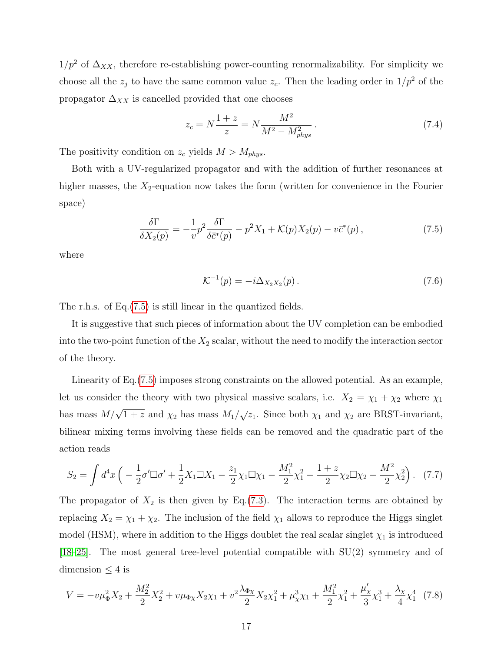$1/p^2$  of  $\Delta_{XX}$ , therefore re-establishing power-counting renormalizability. For simplicity we choose all the  $z_j$  to have the same common value  $z_c$ . Then the leading order in  $1/p^2$  of the propagator  $\Delta_{XX}$  is cancelled provided that one chooses

$$
z_c = N \frac{1+z}{z} = N \frac{M^2}{M^2 - M_{phys}^2} \,. \tag{7.4}
$$

The positivity condition on  $z_c$  yields  $M > M_{phys}$ .

Both with a UV-regularized propagator and with the addition of further resonances at higher masses, the  $X_2$ -equation now takes the form (written for convenience in the Fourier space)

$$
\frac{\delta \Gamma}{\delta X_2(p)} = -\frac{1}{v} p^2 \frac{\delta \Gamma}{\delta \bar{c}^*(p)} - p^2 X_1 + \mathcal{K}(p) X_2(p) - v \bar{c}^*(p) ,\qquad (7.5)
$$

where

<span id="page-16-0"></span>
$$
\mathcal{K}^{-1}(p) = -i\Delta_{X_2 X_2}(p). \tag{7.6}
$$

The r.h.s. of Eq.[\(7.5\)](#page-16-0) is still linear in the quantized fields.

It is suggestive that such pieces of information about the UV completion can be embodied into the two-point function of the  $X_2$  scalar, without the need to modify the interaction sector of the theory.

Linearity of Eq.[\(7.5\)](#page-16-0) imposes strong constraints on the allowed potential. As an example, let us consider the theory with two physical massive scalars, i.e.  $X_2 = \chi_1 + \chi_2$  where  $\chi_1$ has mass  $M/\sqrt{1+z}$  and  $\chi_2$  has mass  $M_1/\sqrt{z_1}$ . Since both  $\chi_1$  and  $\chi_2$  are BRST-invariant, bilinear mixing terms involving these fields can be removed and the quadratic part of the action reads

$$
S_2 = \int d^4x \left( -\frac{1}{2}\sigma'\Box\sigma' + \frac{1}{2}X_1\Box X_1 - \frac{z_1}{2}\chi_1\Box\chi_1 - \frac{M_1^2}{2}\chi_1^2 - \frac{1+z}{2}\chi_2\Box\chi_2 - \frac{M^2}{2}\chi_2^2 \right). \tag{7.7}
$$

The propagator of  $X_2$  is then given by Eq.[\(7.3\)](#page-15-2). The interaction terms are obtained by replacing  $X_2 = \chi_1 + \chi_2$ . The inclusion of the field  $\chi_1$  allows to reproduce the Higgs singlet model (HSM), where in addition to the Higgs doublet the real scalar singlet  $\chi_1$  is introduced [\[18–](#page-19-7)[25\]](#page-19-8). The most general tree-level potential compatible with SU(2) symmetry and of dimension  $\leq 4$  is

<span id="page-16-1"></span>
$$
V = -v\mu_{\Phi}^2 X_2 + \frac{M_2^2}{2} X_2^2 + v\mu_{\Phi\chi} X_2 \chi_1 + v^2 \frac{\lambda_{\Phi\chi}}{2} X_2 \chi_1^2 + \mu_{\chi}^3 \chi_1 + \frac{M_1^2}{2} \chi_1^2 + \frac{\mu_{\chi}'}{3} \chi_1^3 + \frac{\lambda_{\chi}}{4} \chi_1^4
$$
 (7.8)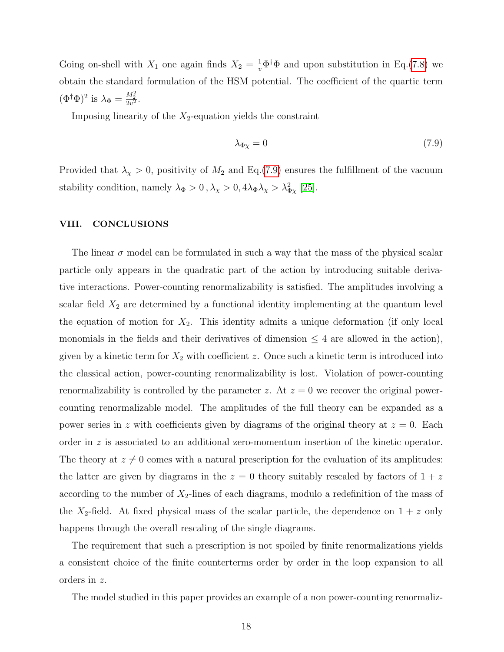Going on-shell with  $X_1$  one again finds  $X_2 = \frac{1}{v} \Phi^{\dagger} \Phi$  and upon substitution in Eq.[\(7.8\)](#page-16-1) we obtain the standard formulation of the HSM potential. The coefficient of the quartic term  $(\Phi^{\dagger}\Phi)^2$  is  $\lambda_{\Phi} = \frac{M_2^2}{2v^2}$ .

Imposing linearity of the  $X_2$ -equation yields the constraint

<span id="page-17-1"></span>
$$
\lambda_{\Phi \chi} = 0 \tag{7.9}
$$

Provided that  $\lambda_{\chi} > 0$ , positivity of  $M_2$  and Eq.[\(7.9\)](#page-17-1) ensures the fulfillment of the vacuum stability condition, namely  $\lambda_{\Phi} > 0$ ,  $\lambda_{\chi} > 0$ ,  $4\lambda_{\Phi} \lambda_{\chi} > \lambda_{\Phi\chi}^2$  [\[25\]](#page-19-8).

## <span id="page-17-0"></span>VIII. CONCLUSIONS

The linear  $\sigma$  model can be formulated in such a way that the mass of the physical scalar particle only appears in the quadratic part of the action by introducing suitable derivative interactions. Power-counting renormalizability is satisfied. The amplitudes involving a scalar field  $X_2$  are determined by a functional identity implementing at the quantum level the equation of motion for  $X_2$ . This identity admits a unique deformation (if only local monomials in the fields and their derivatives of dimension  $\leq 4$  are allowed in the action), given by a kinetic term for  $X_2$  with coefficient z. Once such a kinetic term is introduced into the classical action, power-counting renormalizability is lost. Violation of power-counting renormalizability is controlled by the parameter z. At  $z = 0$  we recover the original powercounting renormalizable model. The amplitudes of the full theory can be expanded as a power series in z with coefficients given by diagrams of the original theory at  $z = 0$ . Each order in z is associated to an additional zero-momentum insertion of the kinetic operator. The theory at  $z \neq 0$  comes with a natural prescription for the evaluation of its amplitudes: the latter are given by diagrams in the  $z = 0$  theory suitably rescaled by factors of  $1 + z$ according to the number of  $X_2$ -lines of each diagrams, modulo a redefinition of the mass of the  $X_2$ -field. At fixed physical mass of the scalar particle, the dependence on  $1 + z$  only happens through the overall rescaling of the single diagrams.

The requirement that such a prescription is not spoiled by finite renormalizations yields a consistent choice of the finite counterterms order by order in the loop expansion to all orders in z.

The model studied in this paper provides an example of a non power-counting renormaliz-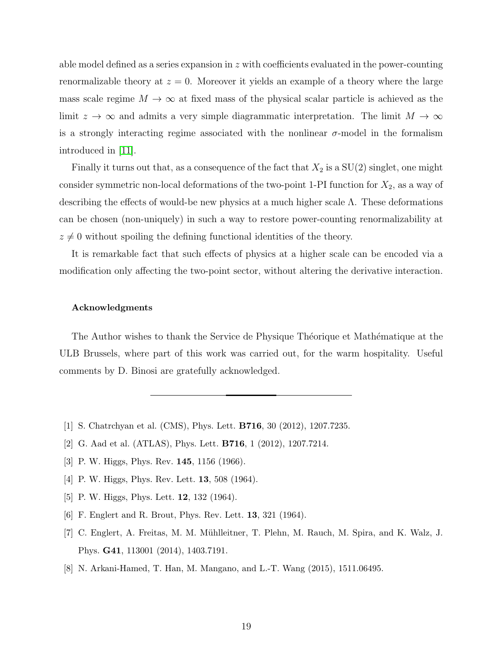able model defined as a series expansion in  $z$  with coefficients evaluated in the power-counting renormalizable theory at  $z = 0$ . Moreover it yields an example of a theory where the large mass scale regime  $M \to \infty$  at fixed mass of the physical scalar particle is achieved as the limit  $z \to \infty$  and admits a very simple diagrammatic interpretation. The limit  $M \to \infty$ is a strongly interacting regime associated with the nonlinear  $\sigma$ -model in the formalism introduced in [\[11\]](#page-19-1).

Finally it turns out that, as a consequence of the fact that  $X_2$  is a  $SU(2)$  singlet, one might consider symmetric non-local deformations of the two-point 1-PI function for  $X_2$ , as a way of describing the effects of would-be new physics at a much higher scale Λ. These deformations can be chosen (non-uniquely) in such a way to restore power-counting renormalizability at  $z \neq 0$  without spoiling the defining functional identities of the theory.

It is remarkable fact that such effects of physics at a higher scale can be encoded via a modification only affecting the two-point sector, without altering the derivative interaction.

#### Acknowledgments

The Author wishes to thank the Service de Physique Théorique et Mathématique at the ULB Brussels, where part of this work was carried out, for the warm hospitality. Useful comments by D. Binosi are gratefully acknowledged.

- <span id="page-18-1"></span><span id="page-18-0"></span>[1] S. Chatrchyan et al. (CMS), Phys. Lett. B716, 30 (2012), 1207.7235.
- <span id="page-18-2"></span>[2] G. Aad et al. (ATLAS), Phys. Lett. B716, 1 (2012), 1207.7214.
- [3] P. W. Higgs, Phys. Rev. 145, 1156 (1966).
- [4] P. W. Higgs, Phys. Rev. Lett. **13**, 508 (1964).
- <span id="page-18-3"></span>[5] P. W. Higgs, Phys. Lett. **12**, 132 (1964).
- <span id="page-18-4"></span>[6] F. Englert and R. Brout, Phys. Rev. Lett. 13, 321 (1964).
- [7] C. Englert, A. Freitas, M. M. Mühlleitner, T. Plehn, M. Rauch, M. Spira, and K. Walz, J. Phys. G41, 113001 (2014), 1403.7191.
- <span id="page-18-5"></span>[8] N. Arkani-Hamed, T. Han, M. Mangano, and L.-T. Wang (2015), 1511.06495.